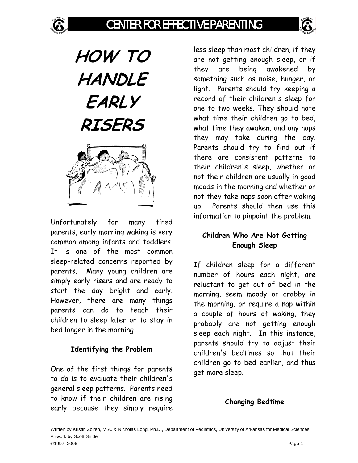



# **HOW TO HANDLE EARLY RISERS**



Unfortunately for many tired parents, early morning waking is very common among infants and toddlers. It is one of the most common sleep-related concerns reported by parents. Many young children are simply early risers and are ready to start the day bright and early. However, there are many things parents can do to teach their children to sleep later or to stay in bed longer in the morning.

#### **Identifying the Problem**

One of the first things for parents to do is to evaluate their children's general sleep patterns. Parents need to know if their children are rising early because they simply require

less sleep than most children, if they are not getting enough sleep, or if they are being awakened by something such as noise, hunger, or light. Parents should try keeping a record of their children's sleep for one to two weeks. They should note what time their children go to bed, what time they awaken, and any naps they may take during the day. Parents should try to find out if there are consistent patterns to their children's sleep, whether or not their children are usually in good moods in the morning and whether or not they take naps soon after waking up. Parents should then use this information to pinpoint the problem.

### **Children Who Are Not Getting Enough Sleep**

If children sleep for a different number of hours each night, are reluctant to get out of bed in the morning, seem moody or crabby in the morning, or require a nap within a couple of hours of waking, they probably are not getting enough sleep each night. In this instance, parents should try to adjust their children's bedtimes so that their children go to bed earlier, and thus get more sleep.

## **Changing Bedtime**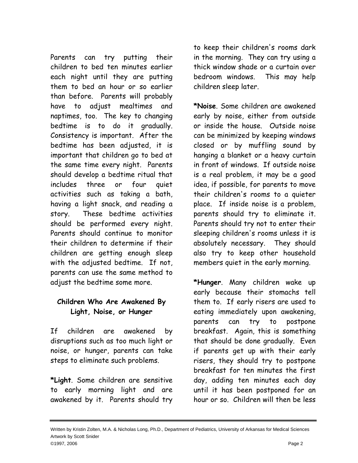Parents can try putting their children to bed ten minutes earlier each night until they are putting them to bed an hour or so earlier than before. Parents will probably have to adjust mealtimes and naptimes, too. The key to changing bedtime is to do it gradually. Consistency is important. After the bedtime has been adjusted, it is important that children go to bed at the same time every night. Parents should develop a bedtime ritual that includes three or four quiet activities such as taking a bath, having a light snack, and reading a story. These bedtime activities should be performed every night. Parents should continue to monitor their children to determine if their children are getting enough sleep with the adjusted bedtime. If not, parents can use the same method to adjust the bedtime some more.

#### **Children Who Are Awakened By Light, Noise, or Hunger**

If children are awakened by disruptions such as too much light or noise, or hunger, parents can take steps to eliminate such problems.

**\*Light**. Some children are sensitive to early morning light and are awakened by it. Parents should try

to keep their children's rooms dark in the morning. They can try using a thick window shade or a curtain over bedroom windows. This may help children sleep later.

**\*Noise**. Some children are awakened early by noise, either from outside or inside the house. Outside noise can be minimized by keeping windows closed or by muffling sound by hanging a blanket or a heavy curtain in front of windows. If outside noise is a real problem, it may be a good idea, if possible, for parents to move their children's rooms to a quieter place. If inside noise is a problem, parents should try to eliminate it. Parents should try not to enter their sleeping children's rooms unless it is absolutely necessary. They should also try to keep other household members quiet in the early morning.

**\*Hunger**. Many children wake up early because their stomachs tell them to. If early risers are used to eating immediately upon awakening, parents can try to postpone breakfast. Again, this is something that should be done gradually. Even if parents get up with their early risers, they should try to postpone breakfast for ten minutes the first day, adding ten minutes each day until it has been postponed for an hour or so. Children will then be less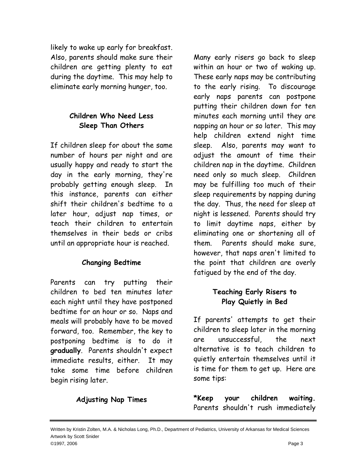likely to wake up early for breakfast. Also, parents should make sure their children are getting plenty to eat during the daytime. This may help to eliminate early morning hunger, too.

#### **Children Who Need Less Sleep Than Others**

If children sleep for about the same number of hours per night and are usually happy and ready to start the day in the early morning, they're probably getting enough sleep. In this instance, parents can either shift their children's bedtime to a later hour, adjust nap times, or teach their children to entertain themselves in their beds or cribs until an appropriate hour is reached.

#### **Changing Bedtime**

Parents can try putting their children to bed ten minutes later each night until they have postponed bedtime for an hour or so. Naps and meals will probably have to be moved forward, too. Remember, the key to postponing bedtime is to do it **gradually**. Parents shouldn't expect immediate results, either. It may take some time before children begin rising later.

Many early risers go back to sleep within an hour or two of waking up. These early naps may be contributing to the early rising. To discourage early naps parents can postpone putting their children down for ten minutes each morning until they are napping an hour or so later. This may help children extend night time sleep. Also, parents may want to adjust the amount of time their children nap in the daytime. Children need only so much sleep. Children may be fulfilling too much of their sleep requirements by napping during the day. Thus, the need for sleep at night is lessened. Parents should try to limit daytime naps, either by eliminating one or shortening all of them. Parents should make sure, however, that naps aren't limited to the point that children are overly fatigued by the end of the day.

### **Teaching Early Risers to Play Quietly in Bed**

If parents' attempts to get their children to sleep later in the morning are unsuccessful, the next alternative is to teach children to quietly entertain themselves until it is time for them to get up. Here are some tips:

**\*Keep your children waiting.** Parents shouldn't rush immediately

**Adjusting Nap Times**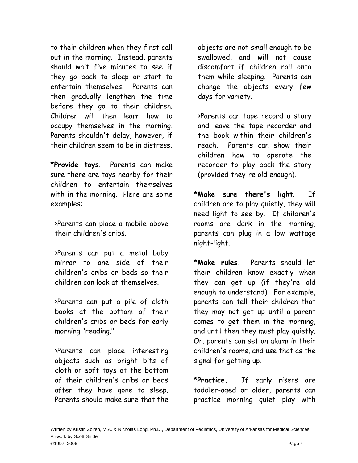to their children when they first call out in the morning. Instead, parents should wait five minutes to see if they go back to sleep or start to entertain themselves. Parents can then gradually lengthen the time before they go to their children. Children will then learn how to occupy themselves in the morning. Parents shouldn't delay, however, if their children seem to be in distress.

**\*Provide toys**. Parents can make sure there are toys nearby for their children to entertain themselves with in the morning. Here are some examples:

>Parents can place a mobile above their children's cribs.

>Parents can put a metal baby mirror to one side of their children's cribs or beds so their children can look at themselves.

>Parents can put a pile of cloth books at the bottom of their children's cribs or beds for early morning "reading."

>Parents can place interesting objects such as bright bits of cloth or soft toys at the bottom of their children's cribs or beds after they have gone to sleep. Parents should make sure that the

objects are not small enough to be swallowed, and will not cause discomfort if children roll onto them while sleeping. Parents can change the objects every few days for variety.

>Parents can tape record a story and leave the tape recorder and the book within their children's reach. Parents can show their children how to operate the recorder to play back the story (provided they're old enough).

**\*Make sure there's light**. If children are to play quietly, they will need light to see by. If children's rooms are dark in the morning, parents can plug in a low wattage night-light.

**\*Make rules.** Parents should let their children know exactly when they can get up (if they're old enough to understand). For example, parents can tell their children that they may not get up until a parent comes to get them in the morning, and until then they must play quietly. Or, parents can set an alarm in their children's rooms, and use that as the signal for getting up.

**\*Practice.** If early risers are toddler-aged or older, parents can practice morning quiet play with